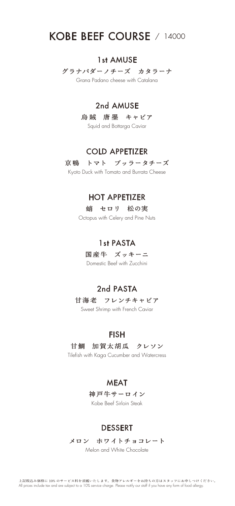# KOBE BEEF COURSE / 14000

### 1st AMUSE

グラナパダーノチーズ カタラーナ

Grana Padano cheese with Catalana

## 2nd AMUSE

烏賊 唐墨 キャビア

Squid and Bottarga Caviar

## COLD APPETIZER

京鴨 トマト ブッラータチーズ

Kyoto Duck with Tomato and Burrata Cheese

## HOT APPETIZER

#### 蛸 セロリ 松の実

Octopus with Celery and Pine Nuts

## 1st PASTA

国産牛 ズッキーニ

Domestic Beef with Zucchini

## 2nd PASTA

甘海老 フレンチキャビア

Sweet Shrimp with French Caviar

## **FISH**

### 甘鯛 加賀太胡瓜 クレソン

Tilefish with Kaga Cucumber and Watercress

## **MEAT**

神戸牛サーロイン

Kobe Beef Sirloin Steak

## DESSERT

メロン ホワイトチョコレート

Melon and White Chocolate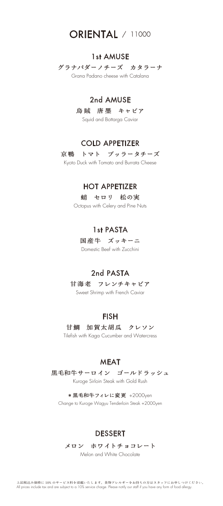## **ORIENTAL** / 11000

### 1st AMUSE

グラナパダーノチーズ カタラーナ

Grana Padano cheese with Catalana

## 2nd AMUSE

烏賊 唐墨 キャビア

Squid and Bottarga Caviar

## COLD APPETIZER

京鴨 トマト ブッラータチーズ

Kyoto Duck with Tomato and Burrata Cheese

## HOT APPETIZER

#### 蛸 セロリ 松の実

Octopus with Celery and Pine Nuts

## 1st PASTA

国産牛 ズッキーニ

Domestic Beef with Zucchini

## 2nd PASTA

甘海老 フレンチキャビア

Sweet Shrimp with French Caviar

## **FISH**

## 甘鯛 加賀太胡瓜 クレソン

Tilefish with Kaga Cucumber and Watercress

## **MEAT**

### 黒毛和牛サーロイン ゴールドラッシュ

Kuroge Sirloin Steak with Gold Rush

#### \* 黒毛和牛フィレに変更 +2000yen Change to Kuroge Wagyu Tenderloin Steak +2000yen

### DESSERT

#### メロン ホワイトチョコレート

Melon and White Chocolate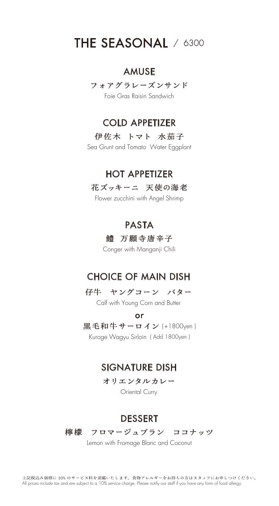## THE SEASONAL / 6300

## AMUSE

#### フォアグラレーズンサンド

Foie Gras Raisin Sandwich

### COLD APPETIZER

#### 伊佐木 トマト 水茄子

Sea Grunt and Tomato Water Eggplant

## HOT APPETIZER

#### 花ズッキーニ 天使の海老

Flower zucchini with Angel Shrimp

### PASTA

#### 鱧 万願寺唐辛子

Conger with Manganji Chili

## CHOICE OF MAIN DISH

#### 仔牛 ヤングコーン バター

Calf with Young Corn and Butter

or

黒毛和牛サーロイン (+1800yen ) Kuroge Wagyu Sirloin ( Add 1800yen )

### SIGNATURE DISH

オリエンタルカレー

Oriental Curry

## DESSERT

檸檬 フロマージュブラン ココナッツ

Lemon with Fromage Blanc and Coconut